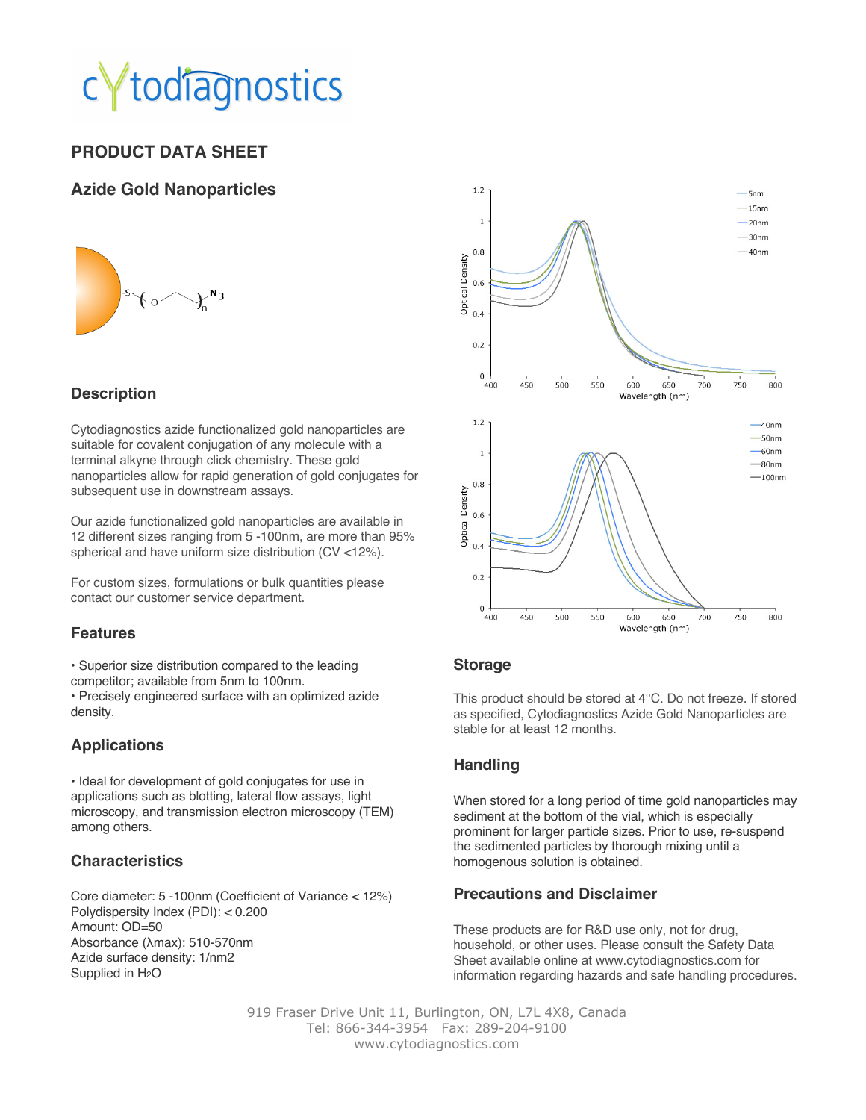# todiagnostics

## **PRODUCT DATA SHEET**

#### **Azide Gold Nanoparticles**



### **Description**

Cytodiagnostics azide functionalized gold nanoparticles are suitable for covalent conjugation of any molecule with a terminal alkyne through click chemistry. These gold nanoparticles allow for rapid generation of gold conjugates for subsequent use in downstream assays.

Our azide functionalized gold nanoparticles are available in 12 different sizes ranging from 5 -100nm, are more than 95% spherical and have uniform size distribution (CV <12%).

For custom sizes, formulations or bulk quantities please contact our customer service department.

#### **Features**

• Superior size distribution compared to the leading competitor; available from 5nm to 100nm.

• Precisely engineered surface with an optimized azide density.

#### **Applications**

• Ideal for development of gold conjugates for use in applications such as blotting, lateral flow assays, light microscopy, and transmission electron microscopy (TEM) among others.

#### **Characteristics**

Core diameter: 5 -100nm (Coefficient of Variance < 12%) Polydispersity Index (PDI): < 0.200 Amount: OD=50 Absorbance (λmax): 510-570nm Azide surface density: 1/nm2 Supplied in H<sub>2</sub>O



#### **Storage**

This product should be stored at 4°C. Do not freeze. If stored as specified, Cytodiagnostics Azide Gold Nanoparticles are stable for at least 12 months.

#### **Handling**

When stored for a long period of time gold nanoparticles may sediment at the bottom of the vial, which is especially prominent for larger particle sizes. Prior to use, re-suspend the sedimented particles by thorough mixing until a homogenous solution is obtained.

#### **Precautions and Disclaimer**

These products are for R&D use only, not for drug, household, or other uses. Please consult the Safety Data Sheet available online at www.cytodiagnostics.com for information regarding hazards and safe handling procedures.

919 Fraser Drive Unit 11, Burlington, ON, L7L 4X8, Canada Tel: 866-344-3954 Fax: 289-204-9100 www.cytodiagnostics.com